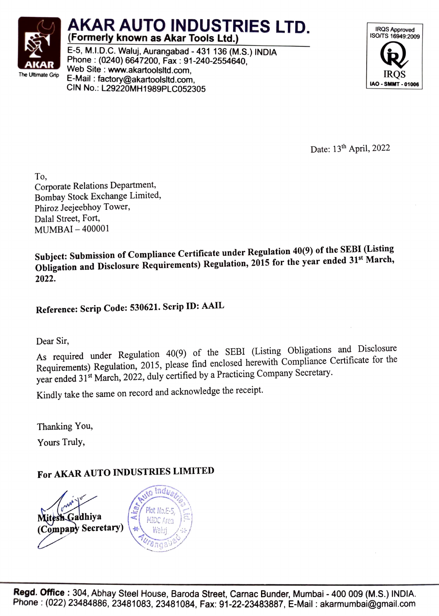

## AKAR AUTO INDUSTRIES LTD. IRQS Approved (Formerly known as Akar Tools Ltd.)

E-5, M.I.D.C. Waluj, Aurangabad - 431 136 (M.S.) INDIA **AKAR** Phone : (0240) 6647200, Fax : 91-240-2554640,<br>The Ultimate Grip **Canadian Capacity Canadian Communist** Communist Capacity Capacity Capacity Communist Communist E-Mail : factory@akartoolsltd.com, Web Site www.akartoolsltd.com, IRQS CIN No.: L29220MH1989PLC052305



Date: 13<sup>th</sup> April, 2022

To, Corporate Relations Department, Bombay Stock Exchange Limited, Phiroz Jeejeebhoy Tower, Dalal Street, Fort, MUMBAI - 400001

Subject: Submission of Compliance Certificate under Regulation 40(9) of the SEBI (Listing Obligation and Disclosure Requirements) Regulation, 2015 for the year ended 31<sup>st</sup> March, 2022.

Reference: Scrip Code: 530621. Scrip ID: AAIL

Dear Sir,

As required under Regulation 40(9) of the SEBI (Listing Obligations and Disclosure Requirements) Regulation, 2015, please find enclosed herewith Compliance Certificate for the year ended 31<sup>st</sup> March, 2022, duly certified by a Practicing Company Secretary.

Kindly take the same on record and acknowledge the receipt.

Thanking You,

Yours Truly,

## For AKAR AUTO INDUSTRIES LIMITED